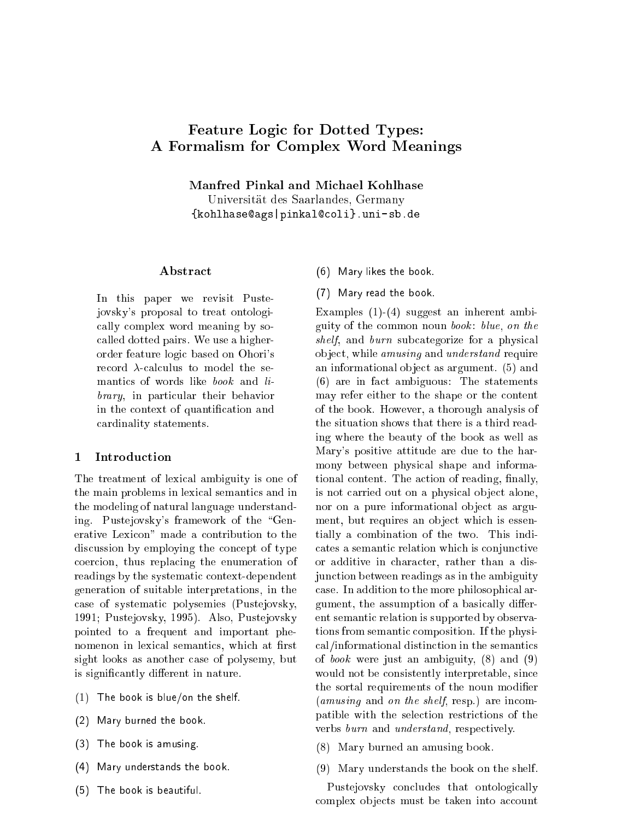# Feature Logi for Dotted Types: A Formalism for Complex Word Meanings

Manfred Pinkal and Mi
hael Kohlhase

Universitat des Saarlandes, Germany {kohlhase@ags|pinkal@coli}.uni-sb.de

## Abstra
t

In this paper we revisit Pustejovsky's proposal to treat ontologi ally omplex word meaning by so alled dotted pairs. We use a higherorder feature logi based on Ohori's record  $\lambda$ -calculus to model the semanti
s of words like book and library, in particular their behavior in the context of quantification and ardinality statements.

#### **Introduction**  $\mathbf 1$

The treatment of lexical ambiguity is one of the main problems in lexical semantics and in the modeling of natural language understanding. Pustejovsky's framework of the \Generative Lexi
on" made a ontribution to the discussion by employing the concept of type oer
ion, thus repla
ing the enumeration of readings by the systematic context-dependent generation of suitable interpretations, in the ase of systemati polysemies (Pustejovsky, 1991; Pustejovsky, 1995). Also, Pustejovsky pointed to a frequent and important phenomenon in lexical semantics, which at first sight looks as another case of polysemy, but is significantly different in nature.

- $(1)$  The book is blue/on the shelf.
- (2) Mary burned the book.
- (3) The book is amusing.
- (4) Mary understands the book.
- $\sim$  The book is beautiful. The book is beautiful. The book is beautiful. The book is beautiful. The book is beautiful.
- (6) Mary likes the book.
- (7) Mary read the book.

Examples (1)-(4) suggest an inherent ambiguity of the common noun book: blue, on the shelf, and burn subcategorize for a physical object, while *amusing* and *understand* require an informational object as argument. (5) and (6) are in fa
t ambiguous: The statements may refer either to the shape or the content of the book. However, a thorough analysis of the situation shows that there is a third reading where the beauty of the book as well as Mary's positive attitude are due to the harmony between physi
al shape and informational content. The action of reading, finally, is not carried out on a physical object alone, nor on a pure informational object as argument, but requires an object which is essentially a ombination of the two. This indi ates a semanti relation whi
h is onjun
tive or additive in character, rather than a disjun
tion between readings as in the ambiguity ase. In addition to the more philosophi
al argument, the assumption of a basically different semanti relation is supported by observations from semantic composition. If the physial/informational distin
tion in the semanti
s of book were just an ambiguity, (8) and (9) would not be consistently interpretable, since the sortal requirements of the noun modifier  $(amusing$  and on the shelf, resp.) are incompatible with the sele
tion restri
tions of the verbs burn and understand, respectively.

- (8) Mary burned an amusing book.
- (9) Mary understands the book on the shelf.

Pustejovsky concludes that ontologically complex objects must be taken into account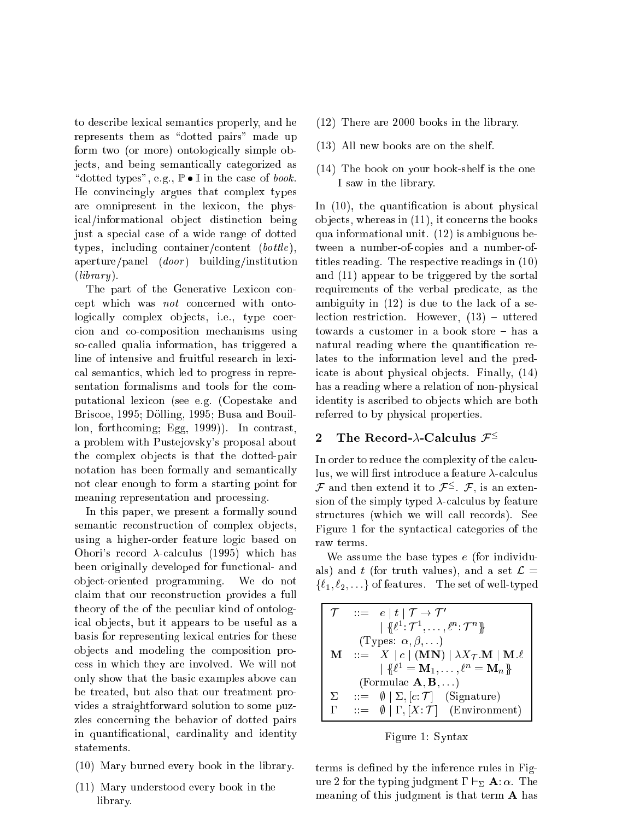to des
ribe lexi
al semanti
s properly, and he represents them as "dotted pairs" made up form two (or more) ontologically simple objects, and being semantically categorized as "dotted types", e.g.,  $\mathbb{P} \bullet \mathbb{I}$  in the case of book. He onvin
ingly argues that omplex types are omnipresent in the lexi
on, the physical/informational object distinction being just a special case of a wide range of dotted types, including container/content (bottle), aperture/panel  $(door)$  building/institution  $(library)$ .

The part of the Generative Lexicon concept which was *not* concerned with ontologically complex objects, i.e., type coerion and oomposition me
hanisms using soalled qualia information, has triggered a line of intensive and fruitful resear
h in lexi al semanti
s, whi
h led to progress in representation formalisms and tools for the omputational lexi
on (see e.g. (Copestake and Bris
oe, 1995; Dolling, 1995; Busa and Bouillon, forth
oming; Egg, 1999)). In ontrast, a problem with Pustejovsky's proposal about the complex objects is that the dotted-pair notation has been formally and semanti
ally not lear enough to form a starting point for meaning representation and pro
essing.

In this paper, we present a formally sound semantic reconstruction of complex objects, using a higher-order feature logi based on Ohori's record  $\lambda$ -calculus (1995) which has been originally developed for fun
tional- and ob je
t-oriented programming. We do not laim that our re
onstru
tion provides a full theory of the of the peculiar kind of ontologi
al ob je
ts, but it appears to be useful as a basis for representing lexi
al entries for these ob je
ts and modeling the omposition pro ess in whi
h they are involved. We will not only show that the basi examples above an be treated, but also that our treatment provides a straightforward solution to some puzzles on
erning the behavior of dotted pairs in quantificational, cardinality and identity statements.

- (10) Mary burned every book in the library.
- (11) Mary understood every book in the library.
- (12) There are 2000 books in the library.
- (13) All new books are on the shelf.
- (14) The book on your book-shelf is the one I saw in the library.

In  $(10)$ , the quantification is about physical objects, whereas in  $(11)$ , it concerns the books qua informational unit. (12) is ambiguous between a number-ofopies and a number-oftitles reading. The respe
tive readings in (10) and (11) appear to be triggered by the sortal requirements of the verbal predicate, as the ambiguity in (12) is due to the la
k of a selection restriction. However,  $(13)$  – uttered towards a customer in a book store - has a natural reading where the quantification relates to the information level and the predicate is about physical objects. Finally,  $(14)$ has a reading where a relation of non-physical identity is ascribed to objects which are both referred to by physi
al properties.

# 2 The Record- $\lambda$ -Calculus  ${\mathcal F}^{\leq}$

In order to reduce the complexity of the calculus, we will first introduce a feature  $\lambda$ -calculus  ${\mathcal F}$  and then extend it to  ${\mathcal F}$  –.  ${\mathcal F}$ , is an extension of the simply typed  $\lambda$ -calculus by feature structures (which we will call records). See Figure 1 for the syntactical categories of the raw terms.

We assume the base types e (for individuals) and t (for truth values), and a set  $\mathcal{L} =$  $\{\ell_1, \ell_2, \ldots\}$  of features. The set of well-typed

|              | $\mathcal{T}$ ::= e   t   $\mathcal{T} \rightarrow \mathcal{T}'$                                          |
|--------------|-----------------------------------------------------------------------------------------------------------|
|              | $\{ \mathcal{R}^1 : \mathcal{T}^1, \ldots, \ell^n : \mathcal{T}^n \}$                                     |
|              | (Types: $\alpha, \beta, \ldots$ )                                                                         |
| м            | $\therefore$ $= X \mid c \mid (\mathbf{MN}) \mid \lambda X_{\mathcal{T}}.\mathbf{M} \mid \mathbf{M}.\ell$ |
|              | $\{ \emptyset \in \mathbb{R}^d = \mathbf{M}_1, \ldots, \ell^n = \mathbf{M}_n \}$                          |
|              | (Formulae $\mathbf{A}, \mathbf{B}, \ldots$ )                                                              |
| $\Sigma$     | $ ::= \emptyset   \Sigma, [c: \mathcal{T}]$ (Signature)                                                   |
| $\mathbf{L}$ | $\therefore = \emptyset   \Gamma, [X; \mathcal{T}]$ (Environment)                                         |

Figure 1: Syntax

terms is defined by the inference rules in Figure 2 for the typing judgment  $\Gamma \vdash_{\Sigma} \mathbf{A}:\alpha$ . The meaning of this judgment is that term **A** has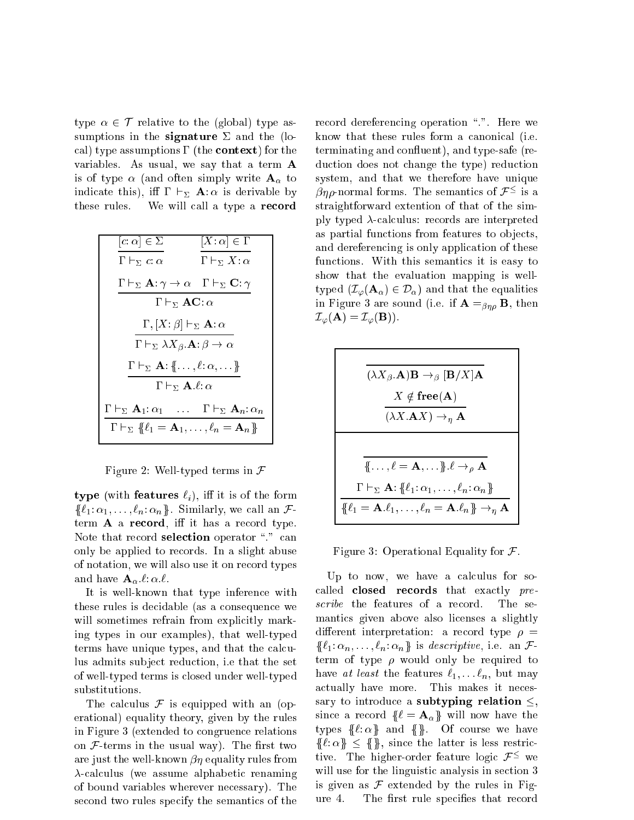type  $\alpha \in \mathcal{T}$  relative to the (global) type assumptions in the signature  $\Sigma$  and the (local) type assumptions  $\Gamma$  (the **context**) for the variables. As usual, we say that a term A is of type  $\alpha$  (and often simply write  $A_{\alpha}$  to indicate this), iff  $\Gamma \vdash_{\Sigma} \mathbf{A}:\alpha$  is derivable by these rules. We will call a type a record

$$
\begin{array}{|c|c|} \hline [c:\alpha]\in\Sigma & [X:\alpha]\in\Gamma\\ \hline \Gamma\vdash_{\Sigma}c:\alpha & \Gamma\vdash_{\Sigma}X:\alpha\\[2mm] \hline \Gamma\vdash_{\Sigma}\mathbf{A}:\gamma\rightarrow\alpha&\Gamma\vdash_{\Sigma}\mathbf{C}:\gamma\\[2mm] \hline \Gamma\vdash_{\Sigma}\mathbf{A}\mathbf{C}:\alpha\\[2mm] \hline \Gamma\vdash_{\Sigma}\lambda X_{\beta}.\mathbf{A}:\beta\rightarrow\alpha\\[2mm] \hline \Gamma\vdash_{\Sigma}\mathbf{A}:\{\ldots,\ell:\alpha,\ldots\}\end{array}
$$
\n
$$
\begin{array}{|c|c|} \hline \Gamma\vdash_{\Sigma}\mathbf{A}:\{\ldots,\ell:\alpha,\ldots\}\end{array}
$$
\n
$$
\begin{array}{|c|c|} \hline \Gamma\vdash_{\Sigma}\mathbf{A}:\{\ldots,\ell:\alpha,\ldots\}\end{array}
$$
\n
$$
\begin{array}{|c|c|} \hline \Gamma\vdash_{\Sigma}\mathbf{A}:\alpha_1&\ldots&\Gamma\vdash_{\Sigma}\mathbf{A}_n:\alpha_n\\[2mm] \hline \Gamma\vdash_{\Sigma}\{\ell_1=\mathbf{A}_1,\ldots,\ell_n=\mathbf{A}_n\}\end{array}
$$

Figure 2: Well-typed terms in  $\mathcal F$ 

type (with features  $\ell_i$ ), iff it is of the form f `1: 1; : : : ; `n: ng . Similarly, we all an Fterm A a record, iff it has a record type. Note that record selection operator "." can only be applied to re
ords. In a slight abuse of notation, we will also use it on re
ord types and have  $\mathbf{A}_{\alpha} \ell : \alpha \ell$ .

It is well-known that type inferen
e with these rules is de
idable (as a onsequen
e we will sometimes refrain from explicitly marking types in our examples), that well-typed terms have unique types, and that the calculus admits subject reduction, i.e that the set of well-typed terms is losed under well-typed substitutions.

The calculus  $\mathcal F$  is equipped with an (operational) equality theory, given by the rules in Figure 3 (extended to ongruen
e relations on  $F$ -terms in the usual way). The first two are just the well-known  $\beta\eta$  equality rules from  $\lambda$ -calculus (we assume alphabetic renaming of bound variables wherever ne
essary). The second two rules specify the semantics of the

record dereferencing operation ".". Here we know that these rules form a canonical (i.e. terminating and confluent), and type-safe (reduction does not change the type) reduction system, and that we therefore have unique  $\beta\eta\rho$ -normal forms. The semantics of  $\mathcal{F}$  = is a straightforward extention of that of the simply typed  $\lambda$ -calculus: records are interpreted as partial functions from features to objects, and dereferen
ing is only appli
ation of these functions. With this semantics it is easy to show that the evaluation mapping is welltyped  $(\mathcal{I}_{\varphi}(\mathbf{A}_{\alpha}) \in \mathcal{D}_{\alpha})$  and that the equalities in Figure 3 are sound (i.e. if  $\mathbf{A} =_{\beta\eta\rho} \mathbf{B}$ , then  $\mathcal{I}_{\varphi}(\mathbf{A}) = \mathcal{I}_{\varphi}(\mathbf{B})).$ 

$$
\frac{\overbrace{(\lambda X_{\beta}.\mathbf{A})\mathbf{B}\to_{\beta}[\mathbf{B}/X]\mathbf{A}}^{\mathbf{X}\notin \mathbf{free}(\mathbf{A})}}{\overbrace{(\lambda X.\mathbf{A}X)\to_{\eta}\mathbf{A}}^{\mathbf{B}\to\mathbf{B}}}
$$
\n
$$
\frac{\overbrace{\mathbf{B}\dots,\ell=\mathbf{A},\dots}_{\mathbf{B}\cdot\ell\to_{\rho}\mathbf{A}}^{\mathbf{B}\to\mathbf{B}\to\mathbf{B}\cdot\mathbf{B}}}{\overbrace{\mathbf{B}\ell_1=\mathbf{A}\cdot\ell_1,\dots,\ell_n=\mathbf{A}\cdot\ell_n}_{\mathbf{B}\to_{\eta}\mathbf{A}}^{\mathbf{B}\to\mathbf{B}\to\mathbf{B}\to_{\eta}\mathbf{A}}^{\mathbf{B}\to\mathbf{B}\cdot\mathbf{A}\cdot\mathbf{B}\cdot\mathbf{B}\to_{\eta}\mathbf{A}}^{\mathbf{B}\to\mathbf{B}\cdot\mathbf{B}\cdot\mathbf{B}\cdot\mathbf{A}\cdot\mathbf{B}\cdot\mathbf{B}\cdot\mathbf{A}\cdot\mathbf{B}\cdot\mathbf{B}\cdot\mathbf{A}}^{\mathbf{B}\to\mathbf{B}\cdot\mathbf{B}\cdot\mathbf{B}\cdot\mathbf{B}\cdot\mathbf{A}\cdot\mathbf{B}\cdot\mathbf{B}\cdot\mathbf{A}}^{\mathbf{B}\cdot\mathbf{B}\cdot\mathbf{B}\cdot\mathbf{B}\cdot\mathbf{B}\cdot\mathbf{B}\cdot\mathbf{B}\cdot\mathbf{A}\cdot\mathbf{B}\cdot\mathbf{B}\cdot\mathbf{B}\cdot\mathbf{B}\cdot\mathbf{B}\cdot\mathbf{B}\cdot\mathbf{B}\cdot\mathbf{B}\cdot\mathbf{B}\cdot\mathbf{B}\cdot\mathbf{B}\cdot\mathbf{B}\cdot\mathbf{B}\cdot\mathbf{B}\cdot\mathbf{B}\cdot\mathbf{B}\cdot\mathbf{B}\cdot\mathbf{B}\cdot\mathbf{B}\cdot\mathbf{B}\cdot\mathbf{B}\cdot\mathbf{B}\cdot\mathbf{B}\cdot\mathbf{B}\cdot\mathbf{B}\cdot\mathbf{B}\cdot\mathbf{B}\cdot\mathbf{B}\cdot\mathbf{B}\cdot\mathbf{B}\cdot\mathbf{B}\cdot\mathbf{B}\cdot\mathbf{B}\cdot\mathbf{B}\cdot\mathbf{B}\cdot\mathbf
$$

Figure 3: Operational Equality for  $\mathcal{F}$ .

Up to now, we have a calculus for socalled **closed** records that exactly premanti
s given above also li
enses a slightly different interpretation: a record type  $\rho =$  $\mathbf{u} \cdot \mathbf{1}$ :  $\mathbf{v} \cdot \mathbf{v}$  ,  $\mathbf{v} \cdot \mathbf{v}$  ,  $\mathbf{v} \cdot \mathbf{v}$  ,  $\mathbf{u} \cdot \mathbf{v}$  ,  $\mathbf{v} \cdot \mathbf{v}$  ,  $\mathbf{v} \cdot \mathbf{v}$  ,  $\mathbf{v} \cdot \mathbf{v}$ term of type  $\rho$  would only be required to have at least the features  $\ell_1, \ldots \ell_n$ , but may a
tually have more. This makes it ne
essary to introduce a subtyping relation  $\leq$ , since a record  $\{ \ell = \mathbf{A}_{\alpha} \}$  will now have the types  $\{\ell : \alpha\}$  and  $\{\}\$ . Of course we have first the latter is less restricted and allowed the single single single state of the single state of the single state of the single state of the single state of the single state of the single state of the single state of  $_{\rm UNe.}$  The higher-order feature logic  $\mathcal{F}$  – we will use for the linguistic analysis in section 3 is given as  $\mathcal F$  extended by the rules in Figure 4. The first rule specifies that record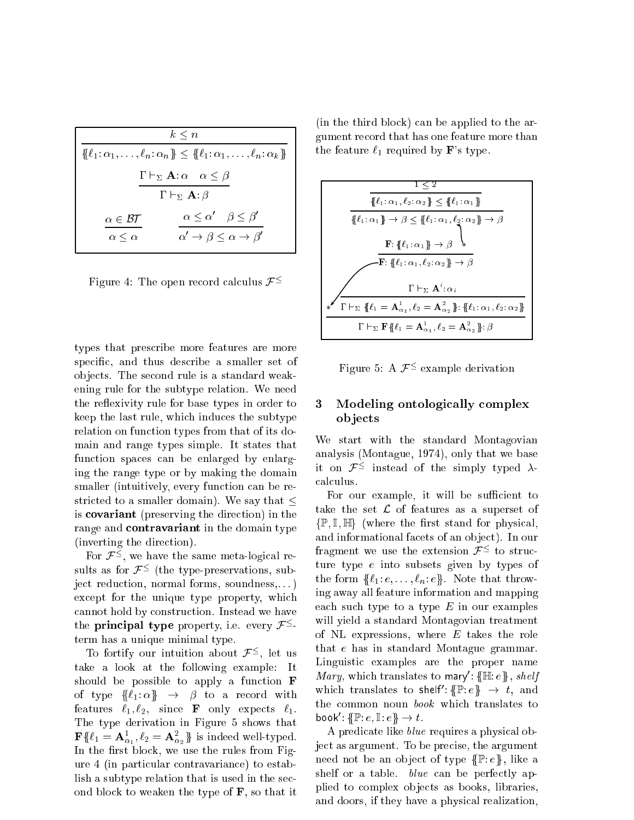| $k \leq n$                                                                                  |                                                                                             |  |  |
|---------------------------------------------------------------------------------------------|---------------------------------------------------------------------------------------------|--|--|
| $\{\ell_1:\alpha_1,\ldots,\ell_n:\alpha_n\}\leq \{\ell_1:\alpha_1,\ldots,\ell_n:\alpha_k\}$ |                                                                                             |  |  |
| $\Gamma \vdash_{\Sigma} \mathbf{A} : \alpha \quad \alpha \leq \beta$                        |                                                                                             |  |  |
| $\Gamma \vdash_{\Sigma} \mathbf{A} : \beta$                                                 |                                                                                             |  |  |
| $\alpha \in \mathcal{BT}$<br>$\alpha \leq \alpha$                                           | $\alpha \leq \alpha' \quad \beta \leq \beta'$<br>$\alpha' \to \beta \leq \alpha \to \beta'$ |  |  |

Figure 4: The open record calculus  $\mathcal{F}^{\leq}$ 

types that pres
ribe more features are more specific, and thus describe a smaller set of objects. The second rule is a standard weakening rule for the subtype relation. We need the reflexivity rule for base types in order to keep the last rule, whi
h indu
es the subtype relation on function types from that of its domain and range types simple. It states that function spaces can be enlarged by enlarging the range type or by making the domain smaller (intuitively, every function can be restricted to a smaller domain). We say that  $\leq$ is ovariant (preserving the dire
tion) in the range and **contravariant** in the domain type (inverting the dire
tion).

For  $\mathcal{F}$  –, we have the same meta-logical results as for  $\mathcal{F}$  = (the type-preservations, subject reduction, normal forms, soundness,...) except for the unique type property, which annot hold by onstru
tion. Instead we have the **principal type** property, i.e. every  $\mathcal{F} =$ term has a unique minimal type.

To fortify our intuition about  $\mathcal{F}^-$ , let us take a look at the following example: It should be possible to apply a function  $\bf F$ of type  $\{\ell_1:\alpha\} \rightarrow \beta$  to a record with features  $\ell_1, \ell_2$ , since **F** only expects  $\ell_1$ . The type derivation in Figure 5 shows that  $\mathbf{F} \mathcal{H} \ell_1 = \mathbf{A}_{\alpha_1}, \ell_2 = \mathbf{A}_{\alpha_2} \mathcal{H}$  is indeed well-typed. In the first block, we use the rules from Figure 4 (in parti
ular ontravarian
e) to establish a subtype relation that is used in the second blo
k to weaken the type of F, so that it

(in the third blo
k) an be applied to the argument re
ord that has one feature more than the feature  $\ell_1$  required by **F**'s type.

$$
\frac{1 \leq 2}{\{\ell_1: \alpha_1, \ell_2: \alpha_2\} \leq \{\ell_1: \alpha_1\}}\n\frac{\{\ell_1: \alpha_1, \ell_2: \alpha_2\} \leq \{\ell_1: \alpha_1\}}{\{\ell_1: \alpha_1\} \rightarrow \beta \leq \{\ell_1: \alpha_1, \ell_2: \alpha_2\} \rightarrow \beta}\n\frac{\mathbf{F}: \{\ell_1: \alpha_1, \ell_2: \alpha_2\} \rightarrow \beta}{\mathbf{F}: \{\ell_1: \alpha_1, \ell_2: \alpha_2\} \rightarrow \beta}\n\frac{\Gamma \vdash_{\Sigma} \mathbf{A}^i: \alpha_i}{\Gamma \vdash_{\Sigma} \{\ell_1 = \mathbf{A}^1_{\alpha_1}, \ell_2 = \mathbf{A}^2_{\alpha_2}\} : \{\ell_1: \alpha_1, \ell_2: \alpha_2\}}\n\frac{\Gamma \vdash_{\Sigma} \mathbf{F}\{\ell_1 = \mathbf{A}^1_{\alpha_1}, \ell_2 = \mathbf{A}^2_{\alpha_2}\} : \beta}{\Gamma \vdash_{\Sigma} \mathbf{F}\{\ell_1 = \mathbf{A}^1_{\alpha_1}, \ell_2 = \mathbf{A}^2_{\alpha_2}\} : \beta}
$$

 $r$ igure 5: A  $r$  = example derivation

# 3 Modeling ontologically complex ob je
ts

We start with the standard Montagovian analysis (Montague, 1974), only that we base it on  $\mathcal{F}$  - instead of the simply typed  $\lambda$ al
ulus.

For our example, it will be sufficient to take the set  $\mathcal L$  of features as a superset of  $\{\mathbb P, \mathbb I, \mathbb H\}$  (where the first stand for physical, and informational facets of an object). In our  $r = t_0$  in the user the extension  $\mathcal{F} = t_0$  structure ture type e into subsets given by types of the form  $\{\ell_1: e, \ldots, \ell_n: e\}$ . Note that throwing away all feature information and mapping each such type to a type  $E$  in our examples will yield a standard Montagovian treatment of NL expressions, where  $E$  takes the role that e has in standard Montague grammar. Linguisti examples are the proper name *Mary*, which translates to mary:  $\eta$   $\mathbb{H}$ :  $e \gamma$ , *shelf* which translates to shelf:  $\gamma$   $\mathbb{F}: e \rightarrow e$ , and the ommon noun book whi
h translates to <code>DOOK:\\ltractless</code>  $\rightarrow$   $\iota$ .

A predicate like *blue* requires a physical object as argument. To be precise, the argument need not be an object of type  $\{\mathbb{P}: e\}$ , like a shelf or a table.  $blue \,$  can be perfectly applied to complex objects as books, libraries, and doors, if they have a physi
al realization,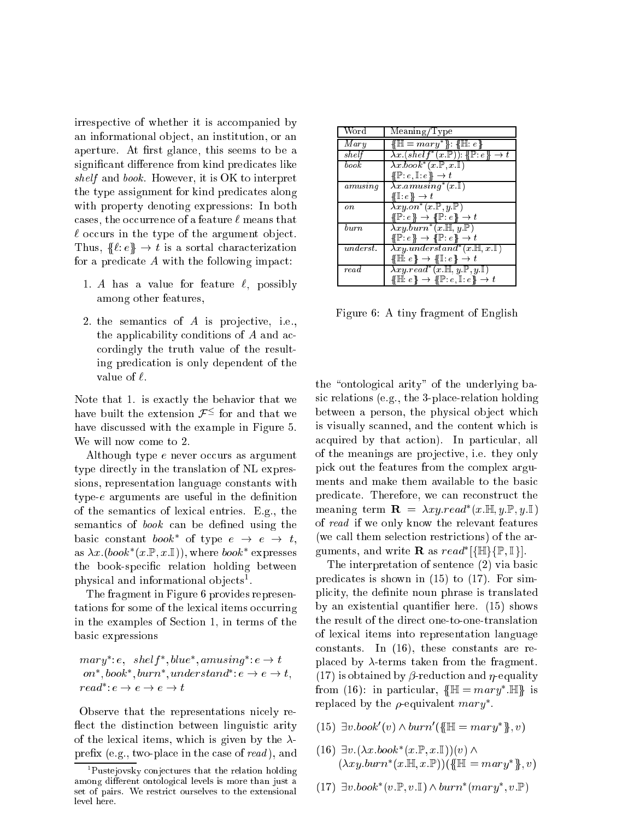irrespective of whether it is accompanied by an informational object, an institution, or an aperture. At first glance, this seems to be a significant difference from kind predicates like shelf and book. However, it is OK to interpret the type assignment for kind predi
ates along with property denoting expressions: In both cases, the occurrence of a feature  $\ell$  means that  $\ell$  occurs in the type of the argument object. Thus,  $\{\ell : e\} \rightarrow t$  is a sortal characterization for a predicate  $A$  with the following impact:

- 1. A has a value for feature  $\ell$ , possibly among other features,
- 2. the semantics of  $A$  is projective, i.e., the applicability conditions of A and acordingly the truth value of the resulting predi
ation is only dependent of the value of  $\ell$ .

Note that 1. is exactly the behavior that we have built the extension  $\mathcal{F}^-$  for and that we have discussed with the example in Figure 5. We will now come to 2.

Although type e never occurs as argument type directly in the translation of NL expressions, representation language constants with type- $e$  arguments are useful in the definition of the semanti
s of lexi
al entries. E.g., the semantics of *book* can be defined using the basic constant *book* of type  $e \rightarrow e \rightarrow t$ , as  $\lambda x.$ (*book* (x.f., x.i.)), where *book* expresses the book-specific relation holding between physical and informational objects.

The fragment in Figure 6 provides representations for some of the lexical items occurring in the examples of Se
tion 1, in terms of the basi expressions

 $margin: e, \; select \; outer, \; outer, \; armusing: e \rightarrow t$ on , book , burn , understand :  $e \rightarrow e \rightarrow \iota$ ,  $reua : e \rightarrow e \rightarrow e \rightarrow \iota$ 

Observe that the representations nicely reflect the distinction between linguistic arity of the lexical items, which is given by the  $\lambda$ prex (e.g., two-pla
e in the ase of read ), and

| Word      | $\overline{\mathrm{Meaning}}/\mathrm{Type}$                                    |
|-----------|--------------------------------------------------------------------------------|
| Mary      | $\{ \mathbb{H} = {mary^*} \}$ : { $\mathbb{H}$ : e}                            |
| shelf     | $\lambda x. (shell f^*(x.\mathbb{P})): \{\mathbb{P}:e\} \to t$                 |
| book      | $\lambda x. \overline{book^*(x.\mathbb{P}, x.\mathbb{I})}$                     |
|           | $\{\!\{\mathbb P\colon e,\mathbb I\colon e\}\!\} \to t$                        |
| amusing   | $\lambda x.$ amusing <sup>*</sup> $(x.\mathbb{I})$                             |
|           | $\{\!\{ \mathbb{I} : e \}\!\} \rightarrow t$                                   |
| on        | $\lambda xy. on^*(x. \mathbb{P}, y. \mathbb{P})$                               |
|           | $\{P : e\} \rightarrow \{P : e\} \rightarrow t$                                |
| $_{burn}$ | $\lambda xy.burn^*(x.\mathbb{H}, y.\mathbb{P})$                                |
|           | $\{P : e\} \rightarrow \{P : e\} \rightarrow t$                                |
| underst.  | $\lambda xy. understand^*(x. \mathbb{H}, x. \mathbb{I})$                       |
|           | $\{\mathbb{H}: e\} \rightarrow \{\mathbb{I}: e\} \rightarrow t$                |
| read      | $\lambda xy.read^*(x \mathbb{H}, y \mathbb{P}, y \mathbb{I})$                  |
|           | $\{\mathbb{H}: e\} \rightarrow \{\mathbb{P}: e, \mathbb{I}: e\} \rightarrow t$ |

Figure 6: A tiny fragment of English

the "ontological arity" of the underlying basic relations (e.g., the 3-place-relation holding between a person, the physical object which is visually s
anned, and the ontent whi
h is acquired by that action). In particular, all of the meanings are projective, i.e. they only pi
k out the features from the omplex arguments and make them available to the basi predi
ate. Therefore, we an re
onstru
t the meaning term  $\mathbf{R} = \lambda xy$ . read  $(x, \mathbb{m}, y, \mathbb{r}, y, \mathbb{r})$ of read if we only know the relevant features (we all them sele
tion restri
tions) of the arguments, and write  $\bf\mathbf{\mathbf{r}}$  as read  $\beta \mathbb{H} \mathbb{M}$ ,  $\mathbb{F} \setminus \mathbb{I}$  i.

The interpretation of sentence (2) via basic predi
ates is shown in (15) to (17). For simplicity, the definite noun phrase is translated by an existential quantifier here. (15) shows the result of the direct one-to-one-translation of lexi
al items into representation language onstants. In (16), these onstants are replaced by  $\lambda$ -terms taken from the fragment. (17) is obtained by  $\beta$ -reduction and  $\eta$ -equality  $\liminf$  if  $\liminf$  is the particular,  $\lim_{n \to \infty}$  if  $\lim_{n \to \infty}$  is replaced by the  $\rho$ -equivalent  $mary$  .

- $(13)$   $v.000K$   $(v)$   $\wedge$   $\theta$ urn $(w)$   $\equiv$   $\theta$ urn $(y, v)$
- $(10)$   $\exists v.(\lambda x.0006 \ (x.\mathbb{r}, x.\mathbb{I}))(v)$  and  $(x, xy, \text{ourn} \ (x, \text{m}, x, \text{m}))$
- (17)  $\exists v.000K$  (v.f., v.i.)  $\wedge$  burn (mary, v.f)

<sup>1</sup> Pustejovsky onje
tures that the relation holding among dierent omtologisme than is more than just a set of pairs. We restri
t ourselves to the extensional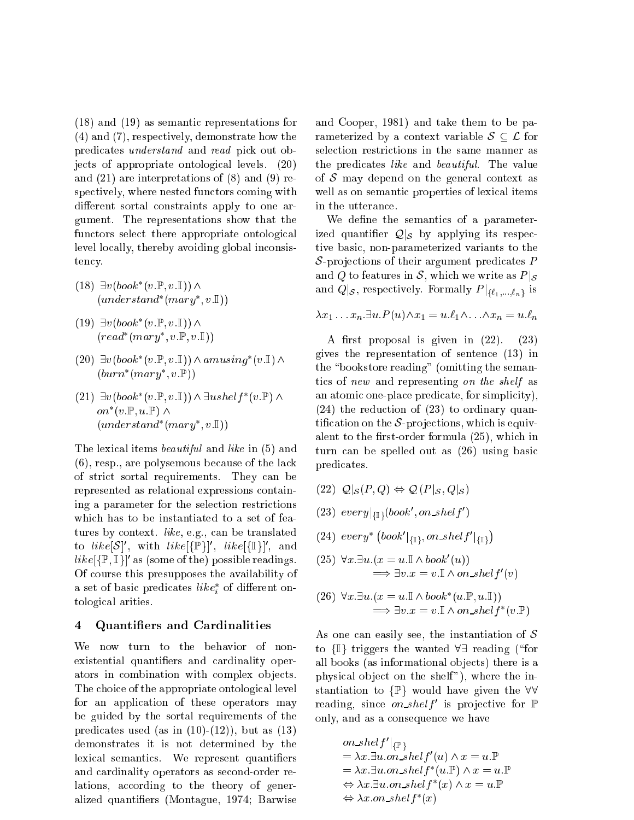$(18)$  and  $(19)$  as semantic representations for (4) and (7), respe
tively, demonstrate how the predicates *understand* and *read* pick out objects of appropriate ontological levels. (20) and (21) are interpretations of (8) and (9) respectively, where nested functors coming with different sortal constraints apply to one argument. The representations show that the functors select there appropriate ontological level locally, thereby avoiding global inconsistency.

- $(10)$  J $v$ ( $v$ o $k$  ( $v$ . $r$ , $v$ . $1$ ))  $\wedge$ (understand (mary ; v:I))
- $(19)$  J $v$ ( $\nu$ o $\alpha$ )( $v$ . $\nu$ , $v$ . $\nu$ ))/  $(\textit{real} \ \ (\textit{mary} \ , \textit{v.F} \ , \textit{v.l})\,)$
- $(20)$   $\exists v(000K)(v.\mathbb{F}, v.\mathbb{I})) \wedge a mustnq(v.\mathbb{I}) \wedge$  $(ourn \ (mary \ ,v.\rhd))$
- $(21)$   $\exists v(000K \ (v.\mathbb{F}, v.\mathbb{I})) \wedge \exists usnet \ [v.\mathbb{F}) \wedge$  $\mathit{on}\;\;$  (  $v$  . If ,  $u$  . If )  $\wedge$ (understand (mary ; v:I))

The lexical items *beautiful* and *like* in (5) and (6), resp., are polysemous be
ause of the la
k of stri
t sortal requirements. They an be represented as relational expressions ontaining a parameter for the sele
tion restri
tions which has to be instantiated to a set of features by context. *like*, e.g., can be translated  $\mathfrak{g}$   $\mathfrak{g}$   $\mathfrak{g}$  is  $\mathfrak{g}$  . When  $\mathfrak{g}$  is  $\mathfrak{g}$  is  $\mathfrak{g}$  is  $\mathfrak{g}$  is  $\mathfrak{g}$  is a set that  $\mathfrak{g}$  is  $\mathfrak{g}$  is  $\mathfrak{g}$  is  $\mathfrak{g}$  if  $\mathfrak{g}$  is  $\mathfrak{g}$  if  $\mathfrak{g}$  is  $\mathfr$  $\iota \iota \kappa e_{\beta}$   $\mathbb{F}, \mathbb{I}$  as (some of the) possible readings. Of ourse this presupposes the availability of a set of basic predicates  $\mathit{tree}_i$  of different ontologi
al arities.

## 4 Quantiers and Cardinalities

We now turn to the behavior of nonexistential quantifiers and cardinality operators in combination with complex objects. The choice of the appropriate ontological level for an application of these operators may be guided by the sortal requirements of the predicates used (as in  $(10)-(12)$ ), but as  $(13)$ demonstrates it is not determined by the lexical semantics. We represent quantifiers and ardinality operators as se
ond-order relations, according to the theory of generalized quantiers (Montague, 1974; Barwise and Cooper, 1981) and take them to be parameterized by a context variable  $S \subseteq \mathcal{L}$  for selection restrictions in the same manner as the predicates like and beautiful. The value of  $S$  may depend on the general context as well as on semantic properties of lexical items in the utteran
e.

We define the semantics of a parameterized quantier QjS by applying its respe
 tive basi
, non-parameterized variants to the  $S$ -projections of their argument predicates  $P$ and Q to features in S, which we write as  $P|_{\mathcal{S}}$  $\mathbf{r}_1 = \mathbf{r}_1 \mathbf{r}_2 = \mathbf{r}_2 \mathbf{r}_3 = \mathbf{r}_3 \mathbf{r}_4 = \mathbf{r}_4 \mathbf{r}_5 = \mathbf{r}_5 \mathbf{r}_6 = \mathbf{r}_7 \mathbf{r}_7 = \mathbf{r}_7 \mathbf{r}_8 = \mathbf{r}_8 \mathbf{r}_8 = \mathbf{r}_8 \mathbf{r}_8 = \mathbf{r}_8 \mathbf{r}_8 = \mathbf{r}_8 \mathbf{r}_8 = \mathbf{r}_8 \mathbf{r}_8 = \mathbf{r}_8 \mathbf{r}_8 = \mathbf{r}_8 \mathbf{r}_8 = \math$ 

$$
\lambda x_1 \dots x_n \exists u.P(u) \land x_1 = u.\ell_1 \land \dots \land x_n = u.\ell_n
$$

A first proposal is given in  $(22)$ .  $(23)$ gives the representation of senten
e (13) in the "bookstore reading" (omitting the semantics of new and representing on the shelf as an atomic one-place predicate, for simplicity).  $(24)$  the reduction of  $(23)$  to ordinary quantification on the  $S$ -projections, which is equivalent to the first-order formula  $(25)$ , which in turn an be spelled out as (26) using basi predi
ates.

- $\lambda = -$  ,  $\lambda$  ,  $\lambda$  ,  $\lambda$  ,  $\lambda$  ,  $\lambda$  ,  $\lambda$  ,  $\lambda$  ,  $\lambda$  ,  $\lambda$  ,  $\lambda$  ,  $\lambda$  ,  $\lambda$  ,  $\lambda$  ,  $\lambda$  ,  $\lambda$  ,  $\lambda$  ,  $\lambda$  ,  $\lambda$  ,  $\lambda$  ,  $\lambda$  ,  $\lambda$  ,  $\lambda$  ,  $\lambda$  ,  $\lambda$  ,  $\lambda$  ,  $\lambda$  ,  $\lambda$  ,  $\lambda$  ,  $\lambda$  ,  $\lambda$  ,  $\$
- (25)  $every_{\{\{\}\}\{000K\}}$ , on shelf  $\{$
- $(24) \; every^* \left( book' |_{\{\mathbb{T}\}} on\_shell\right)$  $\mathbf{f}$ . .
- $(20)$   $\nabla x.\exists u.(x = u.$   $\wedge$  book  $(u))$  $\Rightarrow \exists v.x = v.\mathbb{I} \wedge on\_shell f'(v)$  $\mathbf{v}$

(26) 
$$
\forall x. \exists u. (x = u. \mathbb{I} \land book^*(u. \mathbb{P}, u. \mathbb{I}))
$$
  
 $\Longrightarrow \exists v. x = v. \mathbb{I} \land on\_shellf^*(v. \mathbb{P})$ 

As one can easily see, the instantiation of  $S$ to  $\{\mathbb{I}\}\$  triggers the wanted  $\forall \exists$  reading ("for all books (as informational objects) there is a physical object on the shelf"), where the instantiation to  $\{\mathbb{P}\}\$  would have given the  $\forall\forall$ reading, since *on shelf* is projective for F only, and as a onsequen
e we have

on\_shelf'|  
\n
$$
\begin{aligned}\nonumber & \rho n\_shelf'|_{\{\mathbb{P}\}} \\
&= \lambda x. \exists u. on\_shelf'(u) \land x = u.\mathbb{P} \\
&= \lambda x. \exists u. on\_shelf^*(u.\mathbb{P}) \land x = u.\mathbb{P} \\
&\Leftrightarrow \lambda x. \exists u. on\_shelf^*(x) \land x = u.\mathbb{P} \\
&\Leftrightarrow \lambda x. on\_shelf^*(x)\n\end{aligned}
$$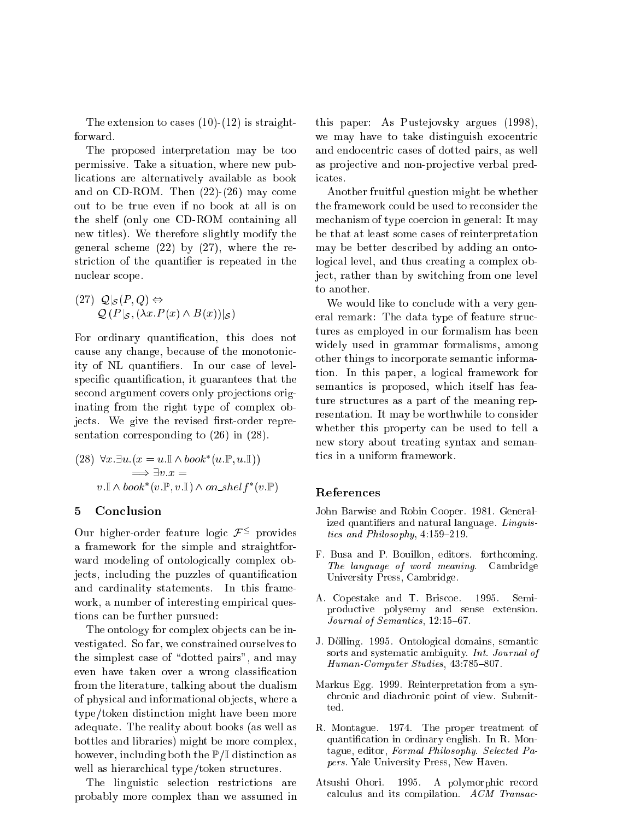The extension to cases  $(10)$ - $(12)$  is straightforward.

The proposed interpretation may be too permissive. Take a situation, where new publi
ations are alternatively available as book and on CD-ROM. Then (22)-(26) may ome out to be true even if no book at all is on the shelf (only one CD-ROM ontaining all new titles). We therefore slightly modify the general s
heme (22) by (27), where the restriction of the quantifier is repeated in the nu
lear s
ope.

$$
(27) \ \mathcal{Q}|_{\mathcal{S}}(P,Q) \Leftrightarrow
$$
  

$$
\mathcal{Q}(P|_{\mathcal{S}}, (\lambda x.P(x) \land B(x))|_{\mathcal{S}})
$$

For ordinary quantification, this does not cause any change, because of the monotonicity of NL quantiers. In our ase of levelspecific quantification, it guarantees that the second argument covers only projections originating from the right type of complex objects. We give the revised first-order representation orresponding to (26) in (28).

(28) 
$$
\forall x. \exists u. (x = u. \mathbb{I} \land book^*(u. \mathbb{P}, u. \mathbb{I}))
$$

$$
\implies \exists v. x =
$$

$$
v. \mathbb{I} \land book^*(v. \mathbb{P}, v. \mathbb{I}) \land on\_shelf^*(v. \mathbb{P})
$$

#### $\overline{5}$ Conclusion

Our migher-order leature logic  $\mathcal{F}$  - provides a framework for the simple and straightforward modeling of ontologically complex objects, including the puzzles of quantification and ardinality statements. In this framework, a number of interesting empirical questions an be further pursued:

The ontology for complex objects can be investigated. So far, we onstrained ourselves to the simplest case of "dotted pairs", and may even have taken over a wrong classification from the literature, talking about the dualism of physi
al and informational ob je
ts, where a type/token distin
tion might have been more adequate. The reality about books (as well as bottles and libraries) might be more omplex, however, including both the  $P/I$  distinction as well as hierarchical type/token structures.

The linguistic selection restrictions are probably more omplex than we assumed in

this paper: As Pustejovsky argues (1998), we may have to take distinguish exocentric and endocentric cases of dotted pairs, as well as projective and non-projective verbal predicates.

Another fruitful question might be whether the framework ould be used to re
onsider the me
hanism of type oer
ion in general: It may be that at least some ases of reinterpretation may be better des
ribed by adding an ontological level, and thus creating a complex obje
t, rather than by swit
hing from one level to another.

We would like to conclude with a very general remark: The data type of feature stru
 tures as employed in our formalism has been widely used in grammar formalisms, among other things to in
orporate semanti information. In this paper, a logi
al framework for semantics is proposed, which itself has feature stru
tures as a part of the meaning representation. It may be worthwhile to consider whether this property an be used to tell a new story about treating syntax and semantics in a uniform framework.

### Referen
es

- John Barwise and Robin Cooper. 1981. Generalized quantifiers and natural language. Linguistics and Philosophy,  $4:159-219$ .
- F. Busa and P. Bouillon, editors. forth
oming. The language of word meaning. Cambridge University Press, Cambridge.
- A. Copestake and T. Bris
oe. 1995. Semiprodu
tive polysemy and sense extension. Journal of Semantics, 12:15-67.
- J. Dolling. 1995. Ontologi
al domains, semanti sorts and systematic ambiguity. *Int. Journal of* Human-Computer Studies, 43:785-807.
- Markus Egg. 1999. Reinterpretation from a syn chronic and diachronic point of view. Submitted.
- R. Montague. 1974. The proper treatment of quantification in ordinary english. In R. Montague, editor, Formal Philosophy. Selected Papers. Yale University Press, New Haven.
- Atsushi Ohori. 1995. A polymorphic record calculus and its compilation. ACM Transac-